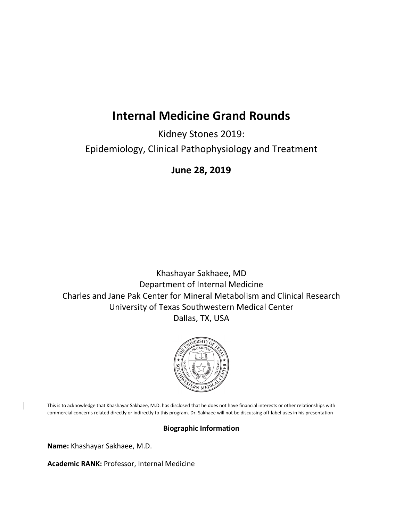# **Internal Medicine Grand Rounds**

Kidney Stones 2019: Epidemiology, Clinical Pathophysiology and Treatment

**June 28, 2019**

Khashayar Sakhaee, MD Department of Internal Medicine Charles and Jane Pak Center for Mineral Metabolism and Clinical Research University of Texas Southwestern Medical Center Dallas, TX, USA



This is to acknowledge that Khashayar Sakhaee, M.D. has disclosed that he does not have financial interests or other relationships with commercial concerns related directly or indirectly to this program. Dr. Sakhaee will not be discussing off-label uses in his presentation

## **Biographic Information**

**Name:** Khashayar Sakhaee, M.D.

**Academic RANK:** Professor, Internal Medicine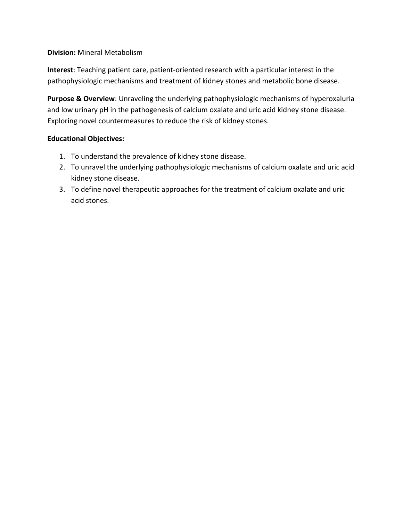### **Division:** Mineral Metabolism

**Interest**: Teaching patient care, patient-oriented research with a particular interest in the pathophysiologic mechanisms and treatment of kidney stones and metabolic bone disease.

**Purpose & Overview**: Unraveling the underlying pathophysiologic mechanisms of hyperoxaluria and low urinary pH in the pathogenesis of calcium oxalate and uric acid kidney stone disease. Exploring novel countermeasures to reduce the risk of kidney stones.

#### **Educational Objectives:**

- 1. To understand the prevalence of kidney stone disease.
- 2. To unravel the underlying pathophysiologic mechanisms of calcium oxalate and uric acid kidney stone disease.
- 3. To define novel therapeutic approaches for the treatment of calcium oxalate and uric acid stones.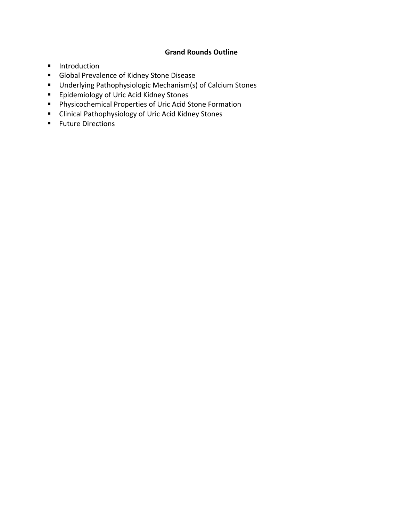## **Grand Rounds Outline**

- **Introduction**
- **Global Prevalence of Kidney Stone Disease**
- Underlying Pathophysiologic Mechanism(s) of Calcium Stones
- **Epidemiology of Uric Acid Kidney Stones**
- Physicochemical Properties of Uric Acid Stone Formation
- **E** Clinical Pathophysiology of Uric Acid Kidney Stones
- **Future Directions**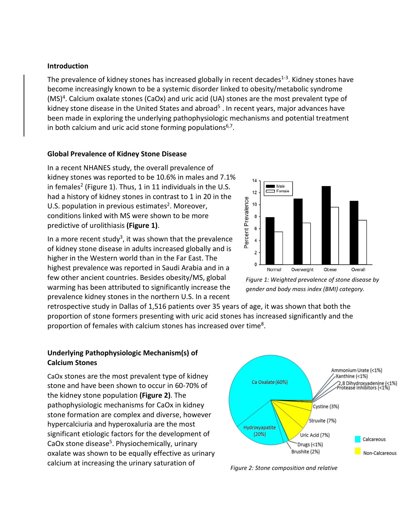#### **Introduction**

The prevalence of kidney stones has increased globally in recent decades<sup>1-3</sup>. Kidney stones have become increasingly known to be a systemic disorder linked to obesity/metabolic syndrome (MS)<sup>4</sup>. Calcium oxalate stones (CaOx) and uric acid (UA) stones are the most prevalent type of kidney stone disease in the United States and abroad<sup>5</sup>. In recent years, major advances have been made in exploring the underlying pathophysiologic mechanisms and potential treatment in both calcium and uric acid stone forming populations $6,7$ .

#### **Global Prevalence of Kidney Stone Disease**

In a recent NHANES study, the overall prevalence of kidney stones was reported to be 10.6% in males and 7.1% in females<sup>2</sup> (Figure 1). Thus, 1 in 11 individuals in the U.S. had a history of kidney stones in contrast to 1 in 20 in the U.S. population in previous estimates<sup>2</sup>. Moreover, conditions linked with MS were shown to be more predictive of urolithiasis **(Figure 1)**.

In a more recent study<sup>3</sup>, it was shown that the prevalence of kidney stone disease in adults increased globally and is higher in the Western world than in the Far East. The highest prevalence was reported in Saudi Arabia and in a few other ancient countries. Besides obesity/MS, global warming has been attributed to significantly increase the prevalence kidney stones in the northern U.S. In a recent



*Figure 1: Weighted prevalence of stone disease by gender and body mass index (BMI) category.*

retrospective study in Dallas of 1,516 patients over 35 years of age, it was shown that both the proportion of stone formers presenting with uric acid stones has increased significantly and the proportion of females with calcium stones has increased over time<sup>8</sup>.

### **Underlying Pathophysiologic Mechanism(s) of Calcium Stones**

CaOx stones are the most prevalent type of kidney stone and have been shown to occur in 60-70% of the kidney stone population **(Figure 2)**. The pathophysiologic mechanisms for CaOx in kidney stone formation are complex and diverse, however hypercalciuria and hyperoxaluria are the most significant etiologic factors for the development of CaOx stone disease<sup>5</sup>. Physiochemically, urinary oxalate was shown to be equally effective as urinary calcium at increasing the urinary saturation of



*Figure 2: Stone composition and relative*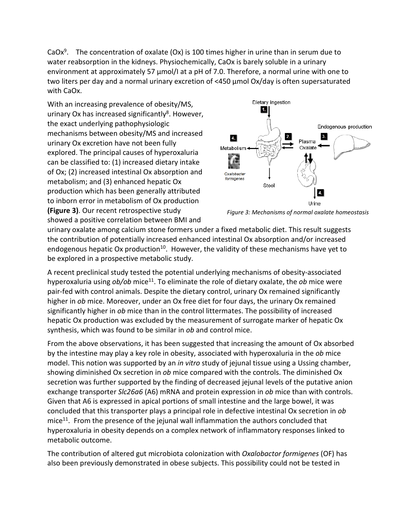CaOx<sup>9</sup>. The concentration of oxalate (Ox) is 100 times higher in urine than in serum due to water reabsorption in the kidneys. Physiochemically, CaOx is barely soluble in a urinary environment at approximately 57  $\mu$ mol/I at a pH of 7.0. Therefore, a normal urine with one to two liters per day and a normal urinary excretion of <450 μmol Ox/day is often supersaturated with CaOx.

With an increasing prevalence of obesity/MS, urinary Ox has increased significantly<sup>8</sup>. However, the exact underlying pathophysiologic mechanisms between obesity/MS and increased urinary Ox excretion have not been fully explored. The principal causes of hyperoxaluria can be classified to: (1) increased dietary intake of Ox; (2) increased intestinal Ox absorption and metabolism; and (3) enhanced hepatic Ox production which has been generally attributed to inborn error in metabolism of Ox production **(Figure 3)**. Our recent retrospective study showed a positive correlation between BMI and



*Figure 3: Mechanisms of normal oxalate homeostasis* 

urinary oxalate among calcium stone formers under a fixed metabolic diet. This result suggests the contribution of potentially increased enhanced intestinal Ox absorption and/or increased endogenous hepatic Ox production<sup>10</sup>. However, the validity of these mechanisms have yet to be explored in a prospective metabolic study.

A recent preclinical study tested the potential underlying mechanisms of obesity-associated hyperoxaluria using *ob/ob* mice<sup>11</sup>. To eliminate the role of dietary oxalate, the *ob* mice were pair-fed with control animals. Despite the dietary control, urinary Ox remained significantly higher in *ob* mice. Moreover, under an Ox free diet for four days, the urinary Ox remained significantly higher in *ob* mice than in the control littermates. The possibility of increased hepatic Ox production was excluded by the measurement of surrogate marker of hepatic Ox synthesis, which was found to be similar in *ob* and control mice.

From the above observations, it has been suggested that increasing the amount of Ox absorbed by the intestine may play a key role in obesity, associated with hyperoxaluria in the *ob* mice model. This notion was supported by an *in vitro* study of jejunal tissue using a Ussing chamber, showing diminished Ox secretion in *ob* mice compared with the controls. The diminished Ox secretion was further supported by the finding of decreased jejunal levels of the putative anion exchange transporter *Slc26a6* (A6) mRNA and protein expression in *ob* mice than with controls. Given that A6 is expressed in apical portions of small intestine and the large bowel, it was concluded that this transporter plays a principal role in defective intestinal Ox secretion in *ob* mice<sup>11</sup>. From the presence of the jejunal wall inflammation the authors concluded that hyperoxaluria in obesity depends on a complex network of inflammatory responses linked to metabolic outcome.

The contribution of altered gut microbiota colonization with *Oxalobactor formigenes* (OF) has also been previously demonstrated in obese subjects. This possibility could not be tested in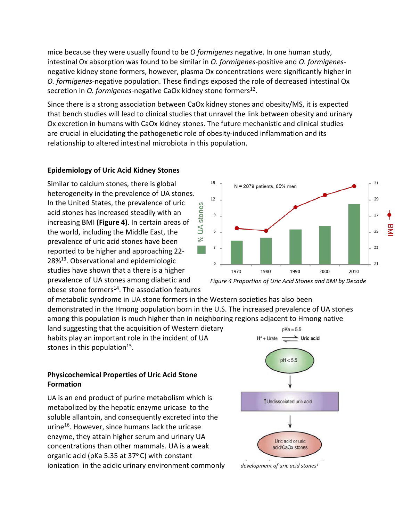mice because they were usually found to be *O formigenes* negative. In one human study, intestinal Ox absorption was found to be similar in *O. formigenes*-positive and *O. formigenes*negative kidney stone formers, however, plasma Ox concentrations were significantly higher in *O. formigenes*-negative population. These findings exposed the role of decreased intestinal Ox secretion in *O. formigenes*-negative CaOx kidney stone formers<sup>12</sup>.

Since there is a strong association between CaOx kidney stones and obesity/MS, it is expected that bench studies will lead to clinical studies that unravel the link between obesity and urinary Ox excretion in humans with CaOx kidney stones. The future mechanistic and clinical studies are crucial in elucidating the pathogenetic role of obesity-induced inflammation and its relationship to altered intestinal microbiota in this population.

15

## **Epidemiology of Uric Acid Kidney Stones**

Similar to calcium stones, there is global heterogeneity in the prevalence of UA stones. In the United States, the prevalence of uric acid stones has increased steadily with an increasing BMI **(Figure 4)**. In certain areas of the world, including the Middle East, the prevalence of uric acid stones have been reported to be higher and approaching 22- 28[%13.](#page-8-12) Observational and epidemiologic studies have shown that a there is a higher prevalence of UA stones among diabetic and obese stone formers $14$ . The association features

of metabolic syndrome in UA stone formers in the Western societies has also been demonstrated in the Hmong population born in the U.S. The increased prevalence of UA stones among this population is much higher than in neighboring regions adjacent to Hmong native

land suggesting that the acquisition of Western dietary habits play an important role in the incident of UA stones in this population<sup>15</sup>.

## **Physicochemical Properties of Uric Acid Stone Formation**

UA is an end product of purine metabolism which is metabolized by the hepatic enzyme uricase to the soluble allantoin, and consequently excreted into the urine<sup>16</sup>. However, since humans lack the uricase enzyme, they attain higher serum and urinary UA concentrations than other mammals. UA is a weak organic acid (pKa 5.35 at  $37^{\circ}$ C) with constant ionization in the acidic urinary environment commonly





31

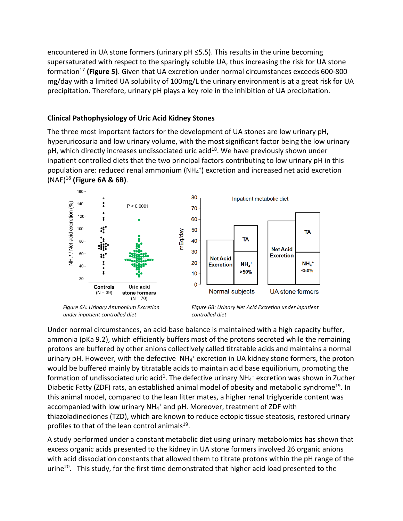encountered in UA stone formers (urinary pH ≤5.5). This results in the urine becoming supersaturated with respect to the sparingly soluble UA, thus increasing the risk for UA stone formatio[n17](#page-8-16) **(Figure 5)**. Given that UA excretion under normal circumstances exceeds 600-800 mg/day with a limited UA solubility of 100mg/L the urinary environment is at a great risk for UA precipitation. Therefore, urinary pH plays a key role in the inhibition of UA precipitation.

## **Clinical Pathophysiology of Uric Acid Kidney Stones**

The three most important factors for the development of UA stones are low urinary pH, hyperuricosuria and low urinary volume, with the most significant factor being the low urinary pH, which directly increases undissociated uric acid<sup>18</sup>. We have previously shown under inpatient controlled diets that the two principal factors contributing to low urinary pH in this population are: reduced renal ammonium (NH4 +) excretion and increased net acid excretion (NAE[\)18](#page-8-17) **(Figure 6A & 6B)**.



*under inpatient controlled diet*

*controlled diet*

Under normal circumstances, an acid-base balance is maintained with a high capacity buffer, ammonia (pKa 9.2), which efficiently buffers most of the protons secreted while the remaining protons are buffered by other anions collectively called titratable acids and maintains a normal urinary pH. However, with the defective NH<sub>4</sub><sup>+</sup> excretion in UA kidney stone formers, the proton would be buffered mainly by titratable acids to maintain acid base equilibrium, promoting the formation of undissociated uric acid<sup>1</sup>. The defective urinary  $NH_4$ <sup>+</sup> excretion was shown in Zucher Diabetic Fatty (ZDF) rats, an established animal model of obesity and metabolic syndrome<sup>19</sup>. In this animal model, compared to the lean litter mates, a higher renal triglyceride content was accompanied with low urinary NH<sub>4</sub><sup>+</sup> and pH. Moreover, treatment of ZDF with thiazoladinediones (TZD), which are known to reduce ectopic tissue steatosis, restored urinary profiles to that of the lean control animals $19$ .

A study performed under a constant metabolic diet using urinary metabolomics has shown that excess organic acids presented to the kidney in UA stone formers involved 26 organic anions with acid dissociation constants that allowed them to titrate protons within the pH range of the urine<sup>20</sup>. This study, for the first time demonstrated that higher acid load presented to the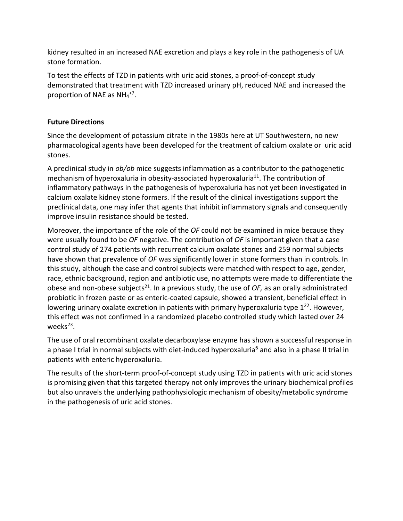kidney resulted in an increased NAE excretion and plays a key role in the pathogenesis of UA stone formation.

To test the effects of TZD in patients with uric acid stones, a proof-of-concept study demonstrated that treatment with TZD increased urinary pH, reduced NAE and increased the proportion of NAE as  $NH_4^{+7}$ .

## **Future Directions**

Since the development of potassium citrate in the 1980s here at UT Southwestern, no new pharmacological agents have been developed for the treatment of calcium oxalate or uric acid stones.

A preclinical study in *ob/ob* mice suggests inflammation as a contributor to the pathogenetic mechanism of hyperoxaluria in obesity-associated hyperoxaluria<sup>11</sup>. The contribution of inflammatory pathways in the pathogenesis of hyperoxaluria has not yet been investigated in calcium oxalate kidney stone formers. If the result of the clinical investigations support the preclinical data, one may infer that agents that inhibit inflammatory signals and consequently improve insulin resistance should be tested.

Moreover, the importance of the role of the *OF* could not be examined in mice because they were usually found to be *OF* negative. The contribution of *OF* is important given that a case control study of 274 patients with recurrent calcium oxalate stones and 259 normal subjects have shown that prevalence of *OF* was significantly lower in stone formers than in controls. In this study, although the case and control subjects were matched with respect to age, gender, race, ethnic background, region and antibiotic use, no attempts were made to differentiate the obese and non-obese subjects<sup>21</sup>. In a previous study, the use of *OF*, as an orally administrated probiotic in frozen paste or as enteric-coated capsule, showed a transient, beneficial effect in lowering urinary oxalate excretion in patients with primary hyperoxaluria type  $1^{22}$ . However, this effect was not confirmed in a randomized placebo controlled study which lasted over 24 weeks $23$ .

The use of oral recombinant oxalate decarboxylase enzyme has shown a successful response in a phase I trial in normal subjects with diet-induced hyperoxaluria<sup>6</sup> and also in a phase II trial in patients with enteric hyperoxaluria.

The results of the short-term proof-of-concept study using TZD in patients with uric acid stones is promising given that this targeted therapy not only improves the urinary biochemical profiles but also unravels the underlying pathophysiologic mechanism of obesity/metabolic syndrome in the pathogenesis of uric acid stones.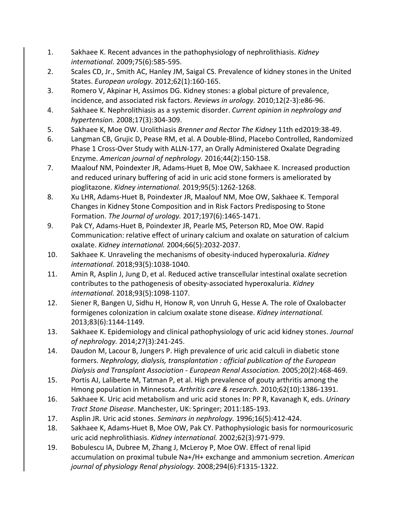- <span id="page-8-0"></span>1. Sakhaee K. Recent advances in the pathophysiology of nephrolithiasis. *Kidney international.* 2009;75(6):585-595.
- <span id="page-8-5"></span>2. Scales CD, Jr., Smith AC, Hanley JM, Saigal CS. Prevalence of kidney stones in the United States. *European urology.* 2012;62(1):160-165.
- <span id="page-8-6"></span>3. Romero V, Akpinar H, Assimos DG. Kidney stones: a global picture of prevalence, incidence, and associated risk factors. *Reviews in urology.* 2010;12(2-3):e86-96.
- <span id="page-8-1"></span>4. Sakhaee K. Nephrolithiasis as a systemic disorder. *Current opinion in nephrology and hypertension.* 2008;17(3):304-309.
- <span id="page-8-2"></span>5. Sakhaee K, Moe OW. Urolithiasis *Brenner and Rector The Kidney* 11th ed2019:38-49.
- <span id="page-8-3"></span>6. Langman CB, Grujic D, Pease RM, et al. A Double-Blind, Placebo Controlled, Randomized Phase 1 Cross-Over Study with ALLN-177, an Orally Administered Oxalate Degrading Enzyme. *American journal of nephrology.* 2016;44(2):150-158.
- <span id="page-8-4"></span>7. Maalouf NM, Poindexter JR, Adams-Huet B, Moe OW, Sakhaee K. Increased production and reduced urinary buffering of acid in uric acid stone formers is ameliorated by pioglitazone. *Kidney international.* 2019;95(5):1262-1268.
- <span id="page-8-7"></span>8. Xu LHR, Adams-Huet B, Poindexter JR, Maalouf NM, Moe OW, Sakhaee K. Temporal Changes in Kidney Stone Composition and in Risk Factors Predisposing to Stone Formation. *The Journal of urology.* 2017;197(6):1465-1471.
- <span id="page-8-8"></span>9. Pak CY, Adams-Huet B, Poindexter JR, Pearle MS, Peterson RD, Moe OW. Rapid Communication: relative effect of urinary calcium and oxalate on saturation of calcium oxalate. *Kidney international.* 2004;66(5):2032-2037.
- <span id="page-8-9"></span>10. Sakhaee K. Unraveling the mechanisms of obesity-induced hyperoxaluria. *Kidney international.* 2018;93(5):1038-1040.
- <span id="page-8-10"></span>11. Amin R, Asplin J, Jung D, et al. Reduced active transcellular intestinal oxalate secretion contributes to the pathogenesis of obesity-associated hyperoxaluria. *Kidney international.* 2018;93(5):1098-1107.
- <span id="page-8-11"></span>12. Siener R, Bangen U, Sidhu H, Honow R, von Unruh G, Hesse A. The role of Oxalobacter formigenes colonization in calcium oxalate stone disease. *Kidney international.*  2013;83(6):1144-1149.
- <span id="page-8-12"></span>13. Sakhaee K. Epidemiology and clinical pathophysiology of uric acid kidney stones. *Journal of nephrology.* 2014;27(3):241-245.
- <span id="page-8-13"></span>14. Daudon M, Lacour B, Jungers P. High prevalence of uric acid calculi in diabetic stone formers. *Nephrology, dialysis, transplantation : official publication of the European Dialysis and Transplant Association - European Renal Association.* 2005;20(2):468-469.
- <span id="page-8-14"></span>15. Portis AJ, Laliberte M, Tatman P, et al. High prevalence of gouty arthritis among the Hmong population in Minnesota. *Arthritis care & research.* 2010;62(10):1386-1391.
- <span id="page-8-15"></span>16. Sakhaee K. Uric acid metabolism and uric acid stones In: PP R, Kavanagh K, eds. *Urinary Tract Stone Disease*. Manchester, UK: Springer; 2011:185-193.
- <span id="page-8-16"></span>17. Asplin JR. Uric acid stones. *Seminars in nephrology.* 1996;16(5):412-424.
- <span id="page-8-17"></span>18. Sakhaee K, Adams-Huet B, Moe OW, Pak CY. Pathophysiologic basis for normouricosuric uric acid nephrolithiasis. *Kidney international.* 2002;62(3):971-979.
- <span id="page-8-18"></span>19. Bobulescu IA, Dubree M, Zhang J, McLeroy P, Moe OW. Effect of renal lipid accumulation on proximal tubule Na+/H+ exchange and ammonium secretion. *American journal of physiology Renal physiology.* 2008;294(6):F1315-1322.